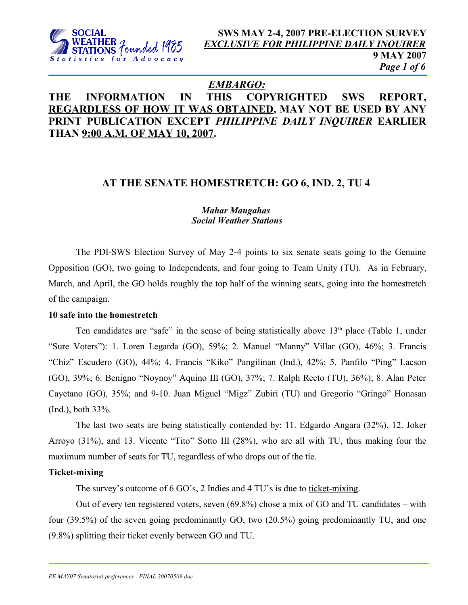

# *EMBARGO:*

# **THE INFORMATION IN THIS COPYRIGHTED SWS REPORT, REGARDLESS OF HOW IT WAS OBTAINED, MAY NOT BE USED BY ANY PRINT PUBLICATION EXCEPT** *PHILIPPINE DAILY INQUIRER* **EARLIER THAN 9:00 A.M. OF MAY 10, 2007.**

# **AT THE SENATE HOMESTRETCH: GO 6, IND. 2, TU 4**

## *Mahar Mangahas Social Weather Stations*

The PDI-SWS Election Survey of May 2-4 points to six senate seats going to the Genuine Opposition (GO), two going to Independents, and four going to Team Unity (TU). As in February, March, and April, the GO holds roughly the top half of the winning seats, going into the homestretch of the campaign.

## **10 safe into the homestretch**

Ten candidates are "safe" in the sense of being statistically above  $13<sup>th</sup>$  place (Table 1, under "Sure Voters"): 1. Loren Legarda (GO), 59%; 2. Manuel "Manny" Villar (GO), 46%; 3. Francis "Chiz" Escudero (GO), 44%; 4. Francis "Kiko" Pangilinan (Ind.), 42%; 5. Panfilo "Ping" Lacson (GO), 39%; 6. Benigno "Noynoy" Aquino III (GO), 37%; 7. Ralph Recto (TU), 36%); 8. Alan Peter Cayetano (GO), 35%; and 9-10. Juan Miguel "Migz" Zubiri (TU) and Gregorio "Gringo" Honasan (Ind.), both 33%.

The last two seats are being statistically contended by: 11. Edgardo Angara (32%), 12. Joker Arroyo (31%), and 13. Vicente "Tito" Sotto III (28%), who are all with TU, thus making four the maximum number of seats for TU, regardless of who drops out of the tie.

## **Ticket-mixing**

The survey's outcome of 6 GO's, 2 Indies and 4 TU's is due to <u>ticket-mixing</u>.

Out of every ten registered voters, seven (69.8%) chose a mix of GO and TU candidates – with four (39.5%) of the seven going predominantly GO, two (20.5%) going predominantly TU, and one (9.8%) splitting their ticket evenly between GO and TU.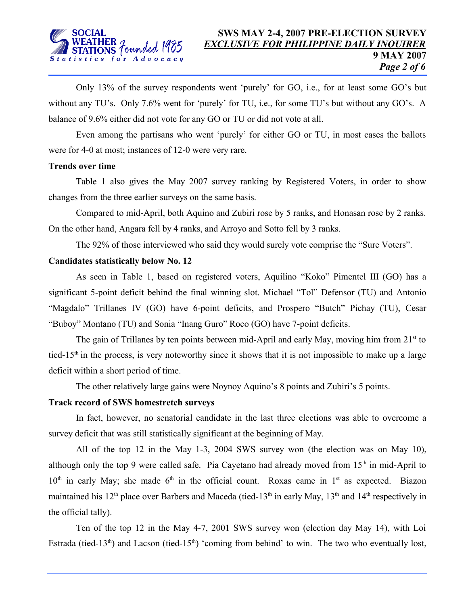Only 13% of the survey respondents went 'purely' for GO, i.e., for at least some GO's but without any TU's. Only 7.6% went for 'purely' for TU, i.e., for some TU's but without any GO's. A balance of 9.6% either did not vote for any GO or TU or did not vote at all.

Even among the partisans who went 'purely' for either GO or TU, in most cases the ballots were for 4-0 at most; instances of 12-0 were very rare.

#### **Trends over time**

Table 1 also gives the May 2007 survey ranking by Registered Voters, in order to show changes from the three earlier surveys on the same basis.

Compared to mid-April, both Aquino and Zubiri rose by 5 ranks, and Honasan rose by 2 ranks. On the other hand, Angara fell by 4 ranks, and Arroyo and Sotto fell by 3 ranks.

The 92% of those interviewed who said they would surely vote comprise the "Sure Voters".

## **Candidates statistically below No. 12**

As seen in Table 1, based on registered voters, Aquilino "Koko" Pimentel III (GO) has a significant 5-point deficit behind the final winning slot. Michael "Tol" Defensor (TU) and Antonio "Magdalo" Trillanes IV (GO) have 6-point deficits, and Prospero "Butch" Pichay (TU), Cesar "Buboy" Montano (TU) and Sonia "Inang Guro" Roco (GO) have 7-point deficits.

The gain of Trillanes by ten points between mid-April and early May, moving him from  $21<sup>st</sup>$  to tied-15<sup>th</sup> in the process, is very noteworthy since it shows that it is not impossible to make up a large deficit within a short period of time.

The other relatively large gains were Noynoy Aquino's 8 points and Zubiri's 5 points.

## **Track record of SWS homestretch surveys**

In fact, however, no senatorial candidate in the last three elections was able to overcome a survey deficit that was still statistically significant at the beginning of May.

All of the top 12 in the May 1-3, 2004 SWS survey won (the election was on May 10), although only the top 9 were called safe. Pia Cayetano had already moved from 15<sup>th</sup> in mid-April to  $10<sup>th</sup>$  in early May; she made  $6<sup>th</sup>$  in the official count. Roxas came in 1<sup>st</sup> as expected. Biazon maintained his 12<sup>th</sup> place over Barbers and Maceda (tied-13<sup>th</sup> in early May, 13<sup>th</sup> and 14<sup>th</sup> respectively in the official tally).

Ten of the top 12 in the May 4-7, 2001 SWS survey won (election day May 14), with Loi Estrada (tied-13<sup>th</sup>) and Lacson (tied-15<sup>th</sup>) 'coming from behind' to win. The two who eventually lost,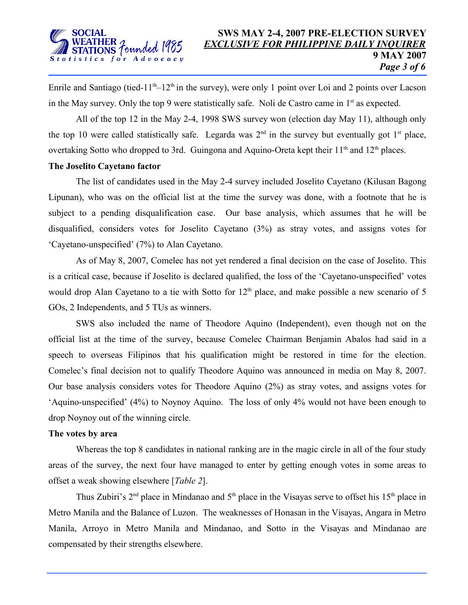

Enrile and Santiago (tied-11<sup>th</sup>–12<sup>th</sup> in the survey), were only 1 point over Loi and 2 points over Lacson in the May survey. Only the top 9 were statistically safe. Noli de Castro came in  $1<sup>st</sup>$  as expected.

All of the top 12 in the May 2-4, 1998 SWS survey won (election day May 11), although only the top 10 were called statistically safe. Legarda was  $2<sup>nd</sup>$  in the survey but eventually got  $1<sup>st</sup>$  place, overtaking Sotto who dropped to 3rd. Guingona and Aquino-Oreta kept their 11<sup>th</sup> and 12<sup>th</sup> places.

#### **The Joselito Cayetano factor**

The list of candidates used in the May 2-4 survey included Joselito Cayetano (Kilusan Bagong Lipunan), who was on the official list at the time the survey was done, with a footnote that he is subject to a pending disqualification case. Our base analysis, which assumes that he will be disqualified, considers votes for Joselito Cayetano (3%) as stray votes, and assigns votes for 'Cayetano-unspecified' (7%) to Alan Cayetano.

As of May 8, 2007, Comelec has not yet rendered a final decision on the case of Joselito. This is a critical case, because if Joselito is declared qualified, the loss of the 'Cayetano-unspecified' votes would drop Alan Cayetano to a tie with Sotto for  $12<sup>th</sup>$  place, and make possible a new scenario of 5 GOs, 2 Independents, and 5 TUs as winners.

SWS also included the name of Theodore Aquino (Independent), even though not on the official list at the time of the survey, because Comelec Chairman Benjamin Abalos had said in a speech to overseas Filipinos that his qualification might be restored in time for the election. Comelec's final decision not to qualify Theodore Aquino was announced in media on May 8, 2007. Our base analysis considers votes for Theodore Aquino (2%) as stray votes, and assigns votes for 'Aquino-unspecified' (4%) to Noynoy Aquino. The loss of only 4% would not have been enough to drop Noynoy out of the winning circle.

## **The votes by area**

Whereas the top 8 candidates in national ranking are in the magic circle in all of the four study areas of the survey, the next four have managed to enter by getting enough votes in some areas to offset a weak showing elsewhere [*Table 2*].

Thus Zubiri's  $2<sup>nd</sup>$  place in Mindanao and  $5<sup>th</sup>$  place in the Visayas serve to offset his  $15<sup>th</sup>$  place in Metro Manila and the Balance of Luzon. The weaknesses of Honasan in the Visayas, Angara in Metro Manila, Arroyo in Metro Manila and Mindanao, and Sotto in the Visayas and Mindanao are compensated by their strengths elsewhere.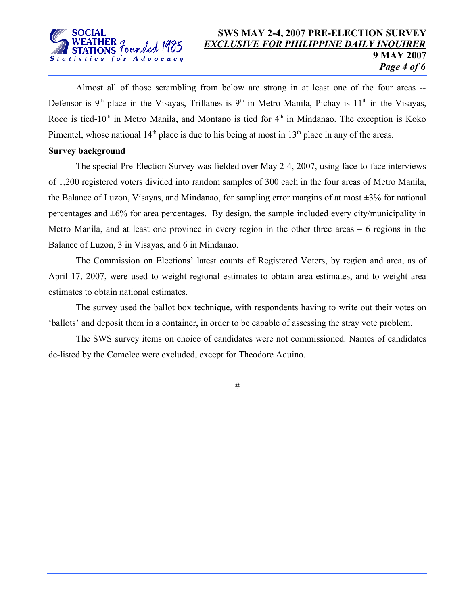

## **SWS MAY 2-4, 2007 PRE-ELECTION SURVEY** *EXCLUSIVE FOR PHILIPPINE DAILY INQUIRER* **9 MAY 2007** *Page 4 of 6*

Almost all of those scrambling from below are strong in at least one of the four areas -- Defensor is 9<sup>th</sup> place in the Visayas, Trillanes is 9<sup>th</sup> in Metro Manila, Pichay is 11<sup>th</sup> in the Visayas, Roco is tied-10<sup>th</sup> in Metro Manila, and Montano is tied for 4<sup>th</sup> in Mindanao. The exception is Koko Pimentel, whose national  $14<sup>th</sup>$  place is due to his being at most in  $13<sup>th</sup>$  place in any of the areas.

#### **Survey background**

The special Pre-Election Survey was fielded over May 2-4, 2007, using face-to-face interviews of 1,200 registered voters divided into random samples of 300 each in the four areas of Metro Manila, the Balance of Luzon, Visayas, and Mindanao, for sampling error margins of at most  $\pm 3\%$  for national percentages and  $\pm 6\%$  for area percentages. By design, the sample included every city/municipality in Metro Manila, and at least one province in every region in the other three areas – 6 regions in the Balance of Luzon, 3 in Visayas, and 6 in Mindanao.

The Commission on Elections' latest counts of Registered Voters, by region and area, as of April 17, 2007, were used to weight regional estimates to obtain area estimates, and to weight area estimates to obtain national estimates.

The survey used the ballot box technique, with respondents having to write out their votes on 'ballots' and deposit them in a container, in order to be capable of assessing the stray vote problem.

The SWS survey items on choice of candidates were not commissioned. Names of candidates de-listed by the Comelec were excluded, except for Theodore Aquino.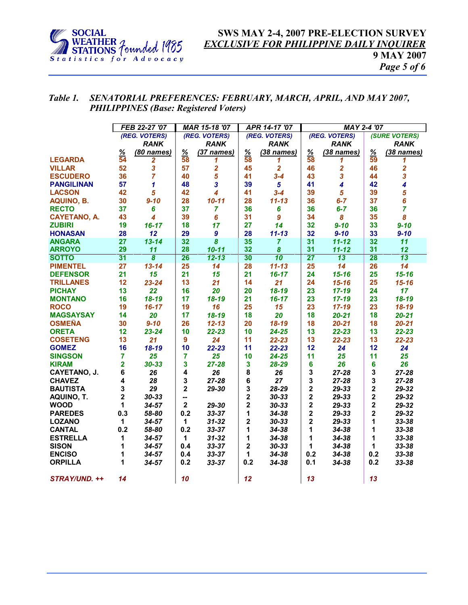

## **SWS MAY 2-4, 2007 PRE-ELECTION SURVEY** *EXCLUSIVE FOR PHILIPPINE DAILY INQUIRER* **9 MAY 2007** *Page 5 of 6*

## *Table 1. SENATORIAL PREFERENCES: FEBRUARY, MARCH, APRIL, AND MAY 2007, PHILIPPINES (Base: Registered Voters)*

|                     | FEB 22-27 '07  |                             | MAR 15-18 '07  |                         | APR 14-17 '07           |                       | <b>MAY 2-4 '07</b>      |                         |                         |                         |
|---------------------|----------------|-----------------------------|----------------|-------------------------|-------------------------|-----------------------|-------------------------|-------------------------|-------------------------|-------------------------|
|                     | (REG. VOTERS)  |                             | (REG. VOTERS)  |                         | (REG. VOTERS)           |                       | (REG. VOTERS)           |                         | <b>(SURE VOTERS)</b>    |                         |
|                     |                | <b>RANK</b>                 |                | <b>RANK</b>             |                         | <b>RANK</b>           |                         | <b>RANK</b>             |                         | <b>RANK</b>             |
|                     | $\frac{9}{6}$  | (80 names)                  | $\frac{9}{6}$  | (37 names)              | $\frac{9}{6}$           | (38 names)            | $\frac{9}{6}$           | (38 names)              | $\frac{9}{6}$           | (38 names)              |
| <b>LEGARDA</b>      | 54             | 2                           | 58             | 1                       | 58                      | 1                     | 58                      | 1                       | 59                      | 1                       |
| <b>VILLAR</b>       | 52             | $\overline{\mathbf{3}}$     | 57             | $\overline{\mathbf{2}}$ | 45                      | $\overline{2}$        | 46                      | $\overline{\mathbf{2}}$ | 46                      | $\overline{\mathbf{2}}$ |
| <b>ESCUDERO</b>     | 36             | 7                           | 40             | 5                       | 41                      | $3 - 4$               | 43                      | 3                       | 44                      | 3                       |
| <b>PANGILINAN</b>   | 57             | 1                           | 48             | 3                       | 39                      | $5\phantom{.0}$       | 41                      | $\overline{\mathbf{4}}$ | 42                      | 4                       |
| <b>LACSON</b>       | 42             | 5                           | 42             | 4                       | 41                      | $3 - 4$               | 39                      | 5                       | 39                      | 5                       |
| <b>AQUINO, B.</b>   | 30             | $9 - 10$                    | 28             | $10 - 11$               | 28                      | $11 - 13$             | 36                      | $6 - 7$                 | 37                      | 6                       |
| <b>RECTO</b>        | 37             | 6                           | 37             | 7                       | 36                      | 6                     | 36                      | $6 - 7$                 | 36                      | $\overline{7}$          |
| <b>CAYETANO, A.</b> | 43             | 4                           | 39             | 6                       | 31                      | 9                     | 34                      | 8                       | 35                      | 8                       |
| <b>ZUBIRI</b>       | 19             | $16 - 17$                   | 18             | 17                      | 27                      | 14                    | 32                      | $9 - 10$                | 33                      | $9 - 10$                |
| <b>HONASAN</b>      | 28             | 12                          | 29             | 9                       | 28                      | $11 - 13$             | 32                      | $9 - 10$                | 33                      | $9 - 10$                |
| <b>ANGARA</b>       | 27             | $13 - 14$                   | 32             | 8                       | 35                      | $\overline{7}$        | 31                      | $11 - 12$               | 32                      | 11                      |
| <b>ARROYO</b>       | 29             | 11                          | 28             | $10 - 11$               | 32                      | $\boldsymbol{\delta}$ | 31                      | $11 - 12$               | 31                      | 12                      |
| <b>SOTTO</b>        | 31             | $\overline{\boldsymbol{8}}$ | 26             | $12 - 13$               | 30                      | $\overline{10}$       | 27                      | 13                      | 28                      | 13                      |
| <b>PIMENTEL</b>     | 27             | $13 - 14$                   | 25             | 14                      | 28                      | $11 - 13$             | 25                      | $\overline{14}$         | 26                      | $\overline{14}$         |
| <b>DEFENSOR</b>     | 21             | 15                          | 21             | 15                      | 21                      | $16 - 17$             | 24                      | $15 - 16$               | 25                      | $15 - 16$               |
| <b>TRILLANES</b>    | 12             | $23 - 24$                   | 13             | 21                      | 14                      | 21                    | 24                      | $15 - 16$               | 25                      | $15 - 16$               |
| <b>PICHAY</b>       | 13             | 22                          | 16             | 20                      | 20                      | 18-19                 | 23                      | $17 - 19$               | 24                      | 17 <sub>2</sub>         |
| <b>MONTANO</b>      | 16             | $18 - 19$                   | 17             | $18 - 19$               | 21                      | $16 - 17$             | 23                      | $17 - 19$               | 23                      | 18-19                   |
| <b>ROCO</b>         | 19             | $16 - 17$                   | 19             | 16                      | 25                      | 15                    | 23                      | $17 - 19$               | 23                      | 18-19                   |
| <b>MAGSAYSAY</b>    | 14             | 20                          | 17             | 18-19                   | 18                      | 20                    | 18                      | $20 - 21$               | 18                      | $20 - 21$               |
| <b>OSMEÑA</b>       | 30             | $9 - 10$                    | 26             | $12 - 13$               | 20                      | 18-19                 | 18                      | $20 - 21$               | 18                      | $20 - 21$               |
| <b>ORETA</b>        | 12             | $23 - 24$                   | 10             | $22 - 23$               | 10                      | $24 - 25$             | 13                      | $22 - 23$               | 13                      | $22 - 23$               |
| <b>COSETENG</b>     | 13             | 21                          | $\overline{9}$ | 24                      | 11                      | $22 - 23$             | 13                      | $22 - 23$               | 13                      | $22 - 23$               |
| <b>GOMEZ</b>        | 16             | 18-19                       | 10             | $22 - 23$               | 11                      | 22-23                 | 12                      | 24                      | 12                      | 24                      |
| <b>SINGSON</b>      | $\overline{7}$ | 25                          | 7              | 25                      | 10                      | $24 - 25$             | 11                      | 25                      | 11                      | 25                      |
| <b>KIRAM</b>        | 2              | $30 - 33$                   | 3              | $27 - 28$               | $\overline{\mathbf{3}}$ | 28-29                 | 6                       | 26                      | 6                       | 26                      |
| CAYETANO, J.        | 6              | 26                          | 4              | 26                      | 8                       | 26                    | 3                       | 27-28                   | 3                       | 27-28                   |
| <b>CHAVEZ</b>       | 4              | 28                          | 3              | $27 - 28$               | 6                       | 27                    | 3                       | $27 - 28$               | 3                       | $27 - 28$               |
| <b>BAUTISTA</b>     | 3              | 29                          | $\mathbf 2$    | 29-30                   | 3                       | 28-29                 | 2                       | 29-33                   | 2                       | 29-32                   |
| AQUINO, T.          | 2              | $30 - 33$                   | --             |                         | $\overline{\mathbf{2}}$ | $30 - 33$             | $\mathbf 2$             | 29-33                   | 2                       | 29-32                   |
| <b>WOOD</b>         | 1              | $34 - 57$                   | $\mathbf{2}$   | 29-30                   | $\overline{\mathbf{2}}$ | $30 - 33$             | $\overline{\mathbf{2}}$ | 29-33                   | $\overline{\mathbf{2}}$ | 29-32                   |
| <b>PAREDES</b>      | 0.3            | 58-80                       | 0.2            | 33-37                   | 1                       | 34-38                 | $\mathbf 2$             | 29-33                   | $\overline{\mathbf{2}}$ | 29-32                   |
| <b>LOZANO</b>       | 1              | $34 - 57$                   | 1              | $31 - 32$               | $\overline{\mathbf{2}}$ | $30 - 33$             | 2                       | 29-33                   | 1                       | 33-38                   |
| <b>CANTAL</b>       | 0.2            | 58-80                       | 0.2            | 33-37                   | 1                       | 34-38                 | 1                       | 34-38                   | 1                       | 33-38                   |
| <b>ESTRELLA</b>     | 1              | $34 - 57$                   | 1              | $31 - 32$               | 1                       | 34-38                 | 1                       | $34 - 38$               | 1                       | 33-38                   |
| <b>SISON</b>        | 1              | $34 - 57$                   | 0.4            | 33-37                   | $\mathbf 2$             | $30 - 33$             | 1                       | 34-38                   | 1                       | 33-38                   |
| <b>ENCISO</b>       | 1              | $34 - 57$                   | 0.4            | $33 - 37$               | 1                       | 34-38                 | 0.2                     | 34-38                   | 0.2                     | 33-38                   |
| <b>ORPILLA</b>      | 1              | $34 - 57$                   | 0.2            | $33 - 37$               | 0.2                     | 34-38                 | 0.1                     | 34-38                   | 0.2                     | 33-38                   |
|                     |                |                             |                |                         |                         |                       |                         |                         |                         |                         |
| STRAY/UND. ++       | 14             |                             | 10             |                         | 12                      |                       | 13                      |                         | 13                      |                         |